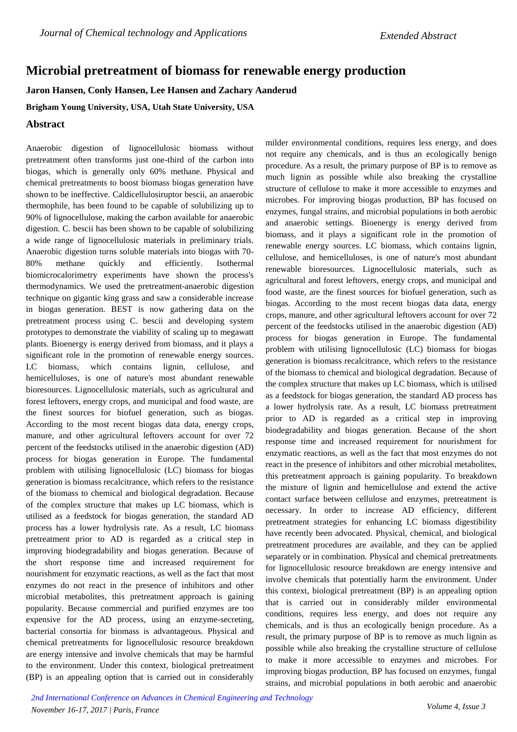## **Microbial pretreatment of biomass for renewable energy production**

**Jaron Hansen, Conly Hansen, Lee Hansen and Zachary Aanderud**

**Brigham Young University, USA, Utah State University, USA**

## **Abstract**

Anaerobic digestion of lignocellulosic biomass without pretreatment often transforms just one-third of the carbon into biogas, which is generally only 60% methane. Physical and chemical pretreatments to boost biomass biogas generation have shown to be ineffective. Caldicellulosiruptor bescii, an anaerobic thermophile, has been found to be capable of solubilizing up to 90% of lignocellulose, making the carbon available for anaerobic digestion. C. bescii has been shown to be capable of solubilizing a wide range of lignocellulosic materials in preliminary trials. Anaerobic digestion turns soluble materials into biogas with 70- 80% methane quickly and efficiently. Isothermal biomicrocalorimetry experiments have shown the process's thermodynamics. We used the pretreatment-anaerobic digestion technique on gigantic king grass and saw a considerable increase in biogas generation. BEST is now gathering data on the pretreatment process using C. bescii and developing system prototypes to demonstrate the viability of scaling up to megawatt plants. Bioenergy is energy derived from biomass, and it plays a significant role in the promotion of renewable energy sources. LC biomass, which contains lignin, cellulose, and hemicelluloses, is one of nature's most abundant renewable bioresources. Lignocellulosic materials, such as agricultural and forest leftovers, energy crops, and municipal and food waste, are the finest sources for biofuel generation, such as biogas. According to the most recent biogas data data, energy crops, manure, and other agricultural leftovers account for over 72 percent of the feedstocks utilised in the anaerobic digestion (AD) process for biogas generation in Europe. The fundamental problem with utilising lignocellulosic (LC) biomass for biogas generation is biomass recalcitrance, which refers to the resistance of the biomass to chemical and biological degradation. Because of the complex structure that makes up LC biomass, which is utilised as a feedstock for biogas generation, the standard AD process has a lower hydrolysis rate. As a result, LC biomass pretreatment prior to AD is regarded as a critical step in improving biodegradability and biogas generation. Because of the short response time and increased requirement for nourishment for enzymatic reactions, as well as the fact that most enzymes do not react in the presence of inhibitors and other microbial metabolites, this pretreatment approach is gaining popularity. Because commercial and purified enzymes are too expensive for the AD process, using an enzyme-secreting, bacterial consortia for biomass is advantageous. Physical and chemical pretreatments for lignocellulosic resource breakdown are energy intensive and involve chemicals that may be harmful to the environment. Under this context, biological pretreatment (BP) is an appealing option that is carried out in considerably milder environmental conditions, requires less energy, and does not require any chemicals, and is thus an ecologically benign procedure. As a result, the primary purpose of BP is to remove as much lignin as possible while also breaking the crystalline structure of cellulose to make it more accessible to enzymes and microbes. For improving biogas production, BP has focused on enzymes, fungal strains, and microbial populations in both aerobic and anaerobic settings. Bioenergy is energy derived from biomass, and it plays a significant role in the promotion of renewable energy sources. LC biomass, which contains lignin, cellulose, and hemicelluloses, is one of nature's most abundant renewable bioresources. Lignocellulosic materials, such as agricultural and forest leftovers, energy crops, and municipal and food waste, are the finest sources for biofuel generation, such as biogas. According to the most recent biogas data data, energy crops, manure, and other agricultural leftovers account for over 72 percent of the feedstocks utilised in the anaerobic digestion (AD) process for biogas generation in Europe. The fundamental problem with utilising lignocellulosic (LC) biomass for biogas generation is biomass recalcitrance, which refers to the resistance of the biomass to chemical and biological degradation. Because of the complex structure that makes up LC biomass, which is utilised as a feedstock for biogas generation, the standard AD process has a lower hydrolysis rate. As a result, LC biomass pretreatment prior to AD is regarded as a critical step in improving biodegradability and biogas generation. Because of the short response time and increased requirement for nourishment for enzymatic reactions, as well as the fact that most enzymes do not react in the presence of inhibitors and other microbial metabolites, this pretreatment approach is gaining popularity. To breakdown the mixture of lignin and hemicellulose and extend the active contact surface between cellulose and enzymes, pretreatment is necessary. In order to increase AD efficiency, different pretreatment strategies for enhancing LC biomass digestibility have recently been advocated. Physical, chemical, and biological pretreatment procedures are available, and they can be applied separately or in combination. Physical and chemical pretreatments for lignocellulosic resource breakdown are energy intensive and involve chemicals that potentially harm the environment. Under this context, biological pretreatment (BP) is an appealing option that is carried out in considerably milder environmental conditions, requires less energy, and does not require any chemicals, and is thus an ecologically benign procedure. As a result, the primary purpose of BP is to remove as much lignin as possible while also breaking the crystalline structure of cellulose to make it more accessible to enzymes and microbes. For improving biogas production, BP has focused on enzymes, fungal strains, and microbial populations in both aerobic and anaerobic